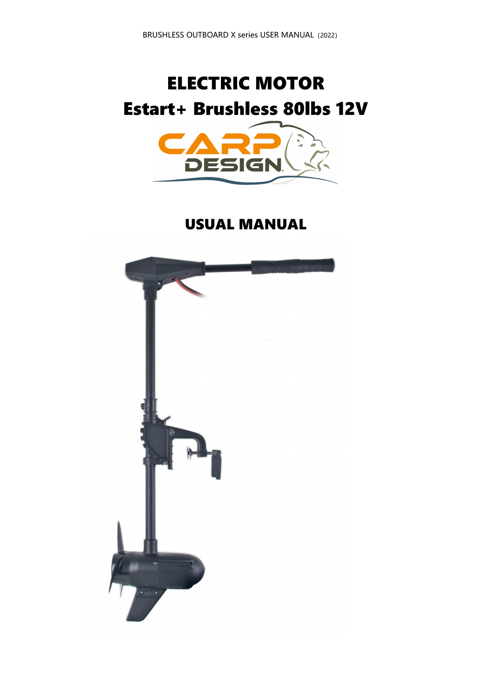## **ELECTRIC MOTOR** Estart+ Brushless 80lbs 12V



**USUAL MANUAL** 

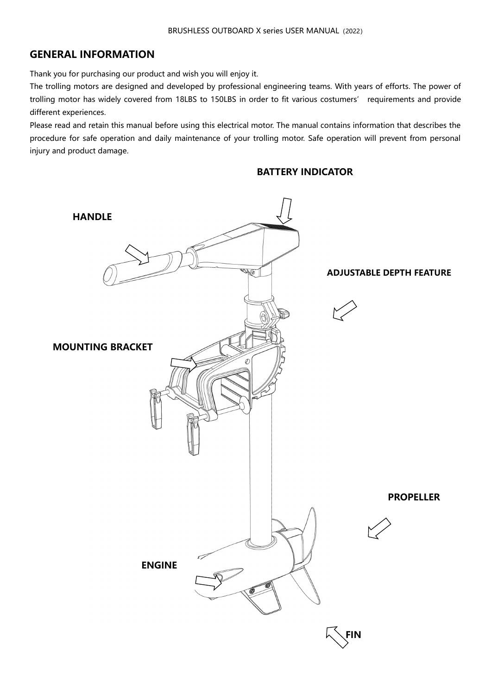#### **GENERAL INFORMATION**

Thank you for purchasing our product and wish you will enjoy it.

The trolling motors are designed and developed by professional engineering teams. With years of efforts. The power of trolling motor has widely covered from 18LBS to 150LBS in order to fit various costumers' requirements and provide different experiences.

Please read and retain this manual before using this electrical motor. The manual contains information that describes the procedure for safe operation and daily maintenance of your trolling motor. Safe operation will prevent from personal injury and product damage.

# **HANDLE**  $\sqrt{a}$ **ADJUSTABLE DEPTH FEATUREMOUNTING BRACKET PROPELLER ENGINE FIN**

#### **BATTERY INDICATOR**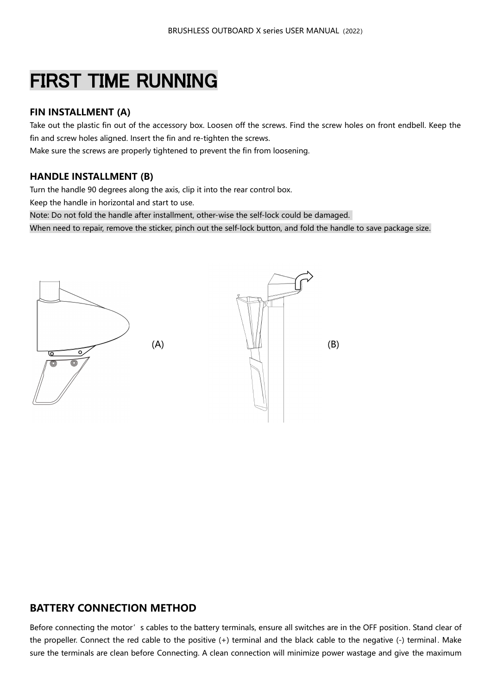### FIRST TIME RUNNING

#### **FIN INSTALLMENT (A)**

Take out the plastic fin out of the accessory box. Loosen off the screws. Find the screw holes on front endbell. Keep the fin and screw holes aligned. Insert the fin and re-tighten the screws.

Make sure the screws are properly tightened to prevent the fin from loosening.

#### **HANDLE INSTALLMENT (B)**

Turn the handle 90 degrees along the axis, clip it into the rear control box.

Keep the handle in horizontal and start to use.

Note: Do not fold the handle after installment, other-wise the self-lock could be damaged.

When need to repair, remove the sticker, pinch out the self-lock button, and fold the handle to save package size.



#### **BATTERY CONNECTION METHOD**

Before connecting the motor's cables to the battery terminals, ensure all switches are in the OFF position. Stand clear of the propeller. Connect the red cable to the positive (+) terminal and the black cable to the negative (-) terminal . Make sure the terminals are clean before Connecting. A clean connection will minimize power wastage and give the maximum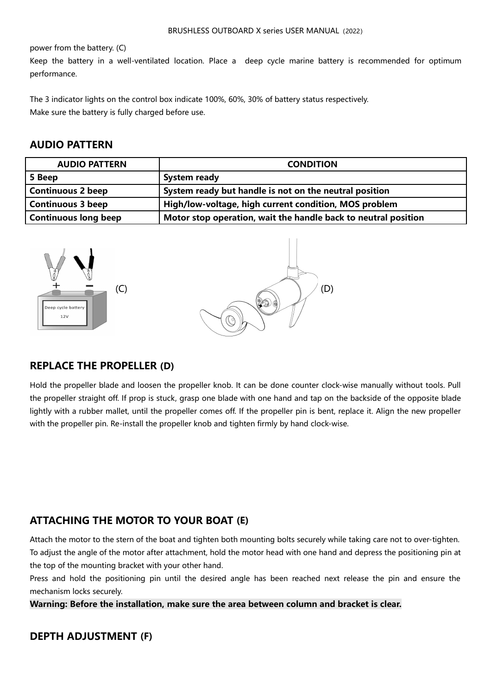power from the battery. (C)

Keep the battery in a well-ventilated location. Place a deep cycle marine battery is recommended for optimum performance.

The 3 indicator lights on the control box indicate 100%, 60%, 30% of battery status respectively. Make sure the battery is fully charged before use.

#### **AUDIO PATTERN**

| <b>AUDIO PATTERN</b>        | <b>CONDITION</b>                                               |
|-----------------------------|----------------------------------------------------------------|
| 5 Beep                      | <b>System ready</b>                                            |
| <b>Continuous 2 beep</b>    | System ready but handle is not on the neutral position         |
| <b>Continuous 3 beep</b>    | High/low-voltage, high current condition, MOS problem          |
| <b>Continuous long beep</b> | Motor stop operation, wait the handle back to neutral position |



#### **REPLACE THE PROPELLER (D)**

Hold the propeller blade and loosen the propeller knob. It can be done counter clock-wise manually without tools. Pull the propeller straight off. If prop is stuck, grasp one blade with one hand and tap on the backside of the opposite blade lightly with a rubber mallet, until the propeller comes off. If the propeller pin is bent, replace it. Align the new propeller with the propeller pin. Re-install the propeller knob and tighten firmly by hand clock-wise.

#### **ATTACHING THE MOTOR TO YOUR BOAT (E)**

Attach the motor to the stern of the boat and tighten both mounting bolts securely while taking care not to over-tighten. To adjust the angle of the motor after attachment, hold the motor head with one hand and depress the positioning pin at the top of the mounting bracket with your other hand.

Press and hold the positioning pin until the desired angle has been reached next release the pin and ensure the mechanism locks securely.

**Warning: Before the installation, make sure the area between column and bracket is clear.**

#### **DEPTH ADJUSTMENT (F)**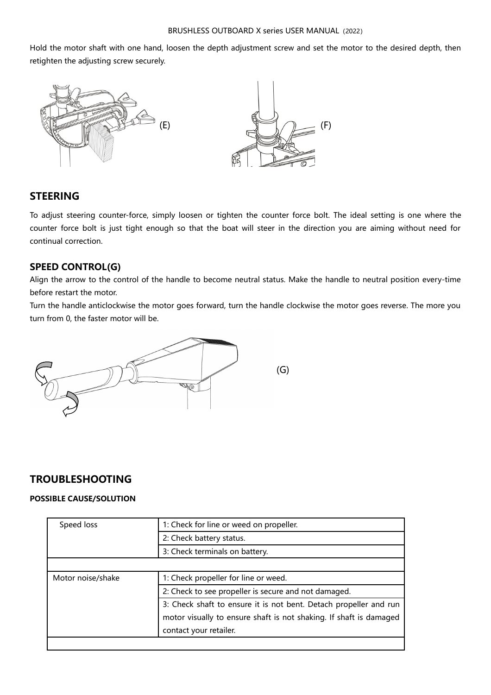Hold the motor shaft with one hand, loosen the depth adjustment screw and set the motor to the desired depth, then retighten the adjusting screw securely.



#### **STEERING**

To adjust steering counter-force, simply loosen or tighten the counter force bolt. The ideal setting is one where the counter force bolt is just tight enough so that the boat will steer in the direction you are aiming without need for continual correction.

#### **SPEED CONTROL(G)**

Align the arrow to the control of the handle to become neutral status. Make the handle to neutral position every-time before restart the motor.

Turn the handle anticlockwise the motor goes forward, turn the handle clockwise the motor goes reverse. The more you turn from 0, the faster motor will be.



#### **TROUBLESHOOTING**

#### **POSSIBLE CAUSE/SOLUTION**

| Speed loss        | 1: Check for line or weed on propeller.                            |
|-------------------|--------------------------------------------------------------------|
|                   | 2: Check battery status.                                           |
|                   | 3: Check terminals on battery.                                     |
|                   |                                                                    |
| Motor noise/shake | 1: Check propeller for line or weed.                               |
|                   | 2: Check to see propeller is secure and not damaged.               |
|                   | 3: Check shaft to ensure it is not bent. Detach propeller and run  |
|                   | motor visually to ensure shaft is not shaking. If shaft is damaged |
|                   | contact your retailer.                                             |
|                   |                                                                    |